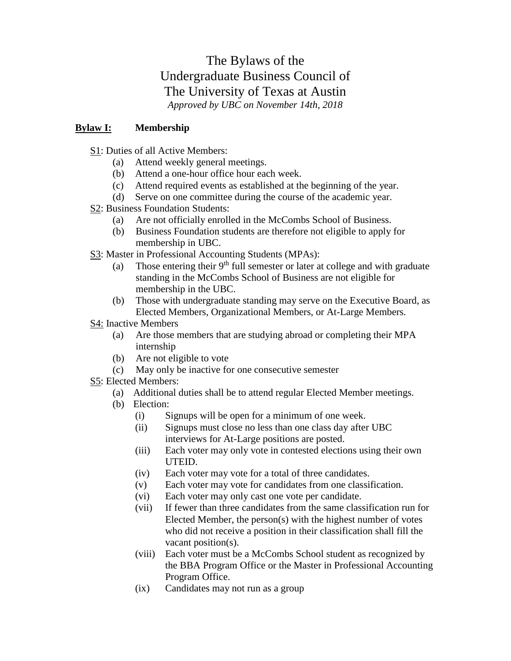# The Bylaws of the Undergraduate Business Council of The University of Texas at Austin *Approved by UBC on November 14th, 2018*

## **Bylaw I: Membership**

- S1: Duties of all Active Members:
	- (a) Attend weekly general meetings.
	- (b) Attend a one-hour office hour each week.
	- (c) Attend required events as established at the beginning of the year.
	- (d) Serve on one committee during the course of the academic year.
- S2: Business Foundation Students:
	- (a) Are not officially enrolled in the McCombs School of Business.
	- (b) Business Foundation students are therefore not eligible to apply for membership in UBC.
- S3: Master in Professional Accounting Students (MPAs):
	- (a) Those entering their  $9<sup>th</sup>$  full semester or later at college and with graduate standing in the McCombs School of Business are not eligible for membership in the UBC.
	- (b) Those with undergraduate standing may serve on the Executive Board, as Elected Members, Organizational Members, or At-Large Members.
- S4: Inactive Members
	- (a) Are those members that are studying abroad or completing their MPA internship
	- (b) Are not eligible to vote
	- (c) May only be inactive for one consecutive semester
- S5: Elected Members:
	- (a) Additional duties shall be to attend regular Elected Member meetings.
	- (b) Election:
		- (i) Signups will be open for a minimum of one week.
		- (ii) Signups must close no less than one class day after UBC interviews for At-Large positions are posted.
		- (iii) Each voter may only vote in contested elections using their own UTEID.
		- (iv) Each voter may vote for a total of three candidates.
		- (v) Each voter may vote for candidates from one classification.
		- (vi) Each voter may only cast one vote per candidate.
		- (vii) If fewer than three candidates from the same classification run for Elected Member, the person(s) with the highest number of votes who did not receive a position in their classification shall fill the vacant position(s).
		- (viii) Each voter must be a McCombs School student as recognized by the BBA Program Office or the Master in Professional Accounting Program Office.
		- (ix) Candidates may not run as a group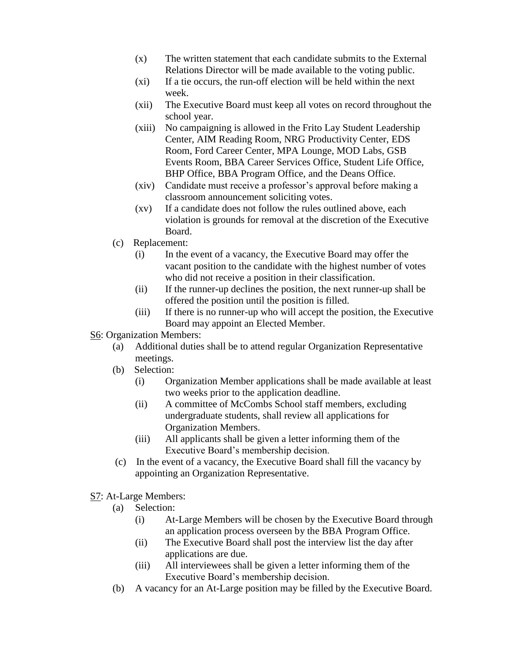- (x) The written statement that each candidate submits to the External Relations Director will be made available to the voting public.
- (xi) If a tie occurs, the run-off election will be held within the next week.
- (xii) The Executive Board must keep all votes on record throughout the school year.
- (xiii) No campaigning is allowed in the Frito Lay Student Leadership Center, AIM Reading Room, NRG Productivity Center, EDS Room, Ford Career Center, MPA Lounge, MOD Labs, GSB Events Room, BBA Career Services Office, Student Life Office, BHP Office, BBA Program Office, and the Deans Office.
- (xiv) Candidate must receive a professor's approval before making a classroom announcement soliciting votes.
- (xv) If a candidate does not follow the rules outlined above, each violation is grounds for removal at the discretion of the Executive Board.
- (c) Replacement:
	- (i) In the event of a vacancy, the Executive Board may offer the vacant position to the candidate with the highest number of votes who did not receive a position in their classification.
	- (ii) If the runner-up declines the position, the next runner-up shall be offered the position until the position is filled.
	- (iii) If there is no runner-up who will accept the position, the Executive Board may appoint an Elected Member.
- S6: Organization Members:
	- (a) Additional duties shall be to attend regular Organization Representative meetings.
	- (b) Selection:
		- (i) Organization Member applications shall be made available at least two weeks prior to the application deadline.
		- (ii) A committee of McCombs School staff members, excluding undergraduate students, shall review all applications for Organization Members.
		- (iii) All applicants shall be given a letter informing them of the Executive Board's membership decision.
	- (c) In the event of a vacancy, the Executive Board shall fill the vacancy by appointing an Organization Representative.
- S7: At-Large Members:
	- (a) Selection:
		- (i) At-Large Members will be chosen by the Executive Board through an application process overseen by the BBA Program Office.
		- (ii) The Executive Board shall post the interview list the day after applications are due.
		- (iii) All interviewees shall be given a letter informing them of the Executive Board's membership decision.
	- (b) A vacancy for an At-Large position may be filled by the Executive Board.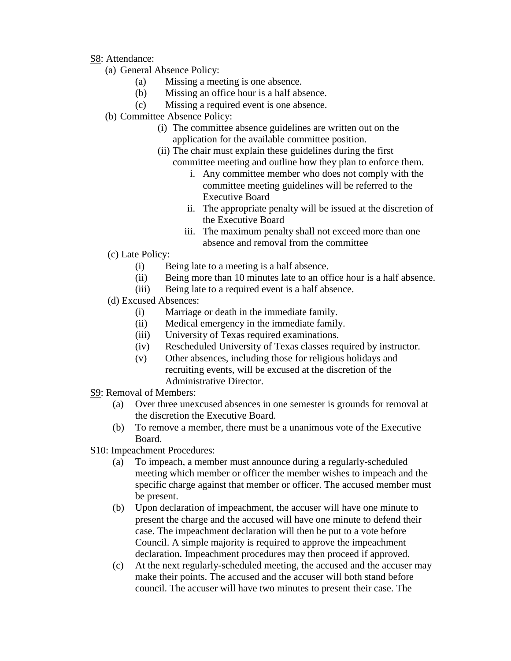#### S8: Attendance:

- (a) General Absence Policy:
	- (a) Missing a meeting is one absence.
	- (b) Missing an office hour is a half absence.
	- (c) Missing a required event is one absence.
- (b) Committee Absence Policy:
	- (i) The committee absence guidelines are written out on the application for the available committee position.
	- (ii) The chair must explain these guidelines during the first committee meeting and outline how they plan to enforce them.
		- i. Any committee member who does not comply with the committee meeting guidelines will be referred to the Executive Board
		- ii. The appropriate penalty will be issued at the discretion of the Executive Board
		- iii. The maximum penalty shall not exceed more than one absence and removal from the committee
- (c) Late Policy:
	- (i) Being late to a meeting is a half absence.
	- (ii) Being more than 10 minutes late to an office hour is a half absence.
	- (iii) Being late to a required event is a half absence.
- (d) Excused Absences:
	- (i) Marriage or death in the immediate family.
	- (ii) Medical emergency in the immediate family.
	- (iii) University of Texas required examinations.
	- (iv) Rescheduled University of Texas classes required by instructor.
	- (v) Other absences, including those for religious holidays and recruiting events, will be excused at the discretion of the Administrative Director.
- S9: Removal of Members:
	- (a) Over three unexcused absences in one semester is grounds for removal at the discretion the Executive Board.
	- (b) To remove a member, there must be a unanimous vote of the Executive Board.
- S10: Impeachment Procedures:
	- (a) To impeach, a member must announce during a regularly-scheduled meeting which member or officer the member wishes to impeach and the specific charge against that member or officer. The accused member must be present.
	- (b) Upon declaration of impeachment, the accuser will have one minute to present the charge and the accused will have one minute to defend their case. The impeachment declaration will then be put to a vote before Council. A simple majority is required to approve the impeachment declaration. Impeachment procedures may then proceed if approved.
	- (c) At the next regularly-scheduled meeting, the accused and the accuser may make their points. The accused and the accuser will both stand before council. The accuser will have two minutes to present their case. The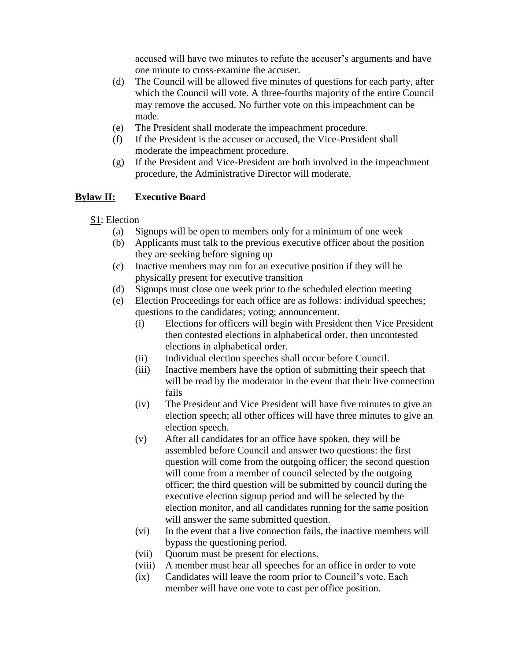accused will have two minutes to refute the accuser's arguments and have one minute to cross-examine the accuser.

- (d) The Council will be allowed five minutes of questions for each party, after which the Council will vote. A three-fourths majority of the entire Council may remove the accused. No further vote on this impeachment can be made.
- (e) The President shall moderate the impeachment procedure.
- (f) If the President is the accuser or accused, the Vice-President shall moderate the impeachment procedure.
- (g) If the President and Vice-President are both involved in the impeachment procedure, the Administrative Director will moderate.

### **Bylaw II: Executive Board**

- S1: Election
	- (a) Signups will be open to members only for a minimum of one week
	- (b) Applicants must talk to the previous executive officer about the position they are seeking before signing up
	- (c) Inactive members may run for an executive position if they will be physically present for executive transition
	- (d) Signups must close one week prior to the scheduled election meeting
	- (e) Election Proceedings for each office are as follows: individual speeches; questions to the candidates; voting; announcement.
		- (i) Elections for officers will begin with President then Vice President then contested elections in alphabetical order, then uncontested elections in alphabetical order.
		- (ii) Individual election speeches shall occur before Council.
		- (iii) Inactive members have the option of submitting their speech that will be read by the moderator in the event that their live connection fails
		- (iv) The President and Vice President will have five minutes to give an election speech; all other offices will have three minutes to give an election speech.
		- (v) After all candidates for an office have spoken, they will be assembled before Council and answer two questions: the first question will come from the outgoing officer; the second question will come from a member of council selected by the outgoing officer; the third question will be submitted by council during the executive election signup period and will be selected by the election monitor, and all candidates running for the same position will answer the same submitted question.
		- (vi) In the event that a live connection fails, the inactive members will bypass the questioning period.
		- (vii) Quorum must be present for elections.
		- (viii) A member must hear all speeches for an office in order to vote
		- (ix) Candidates will leave the room prior to Council's vote. Each member will have one vote to cast per office position.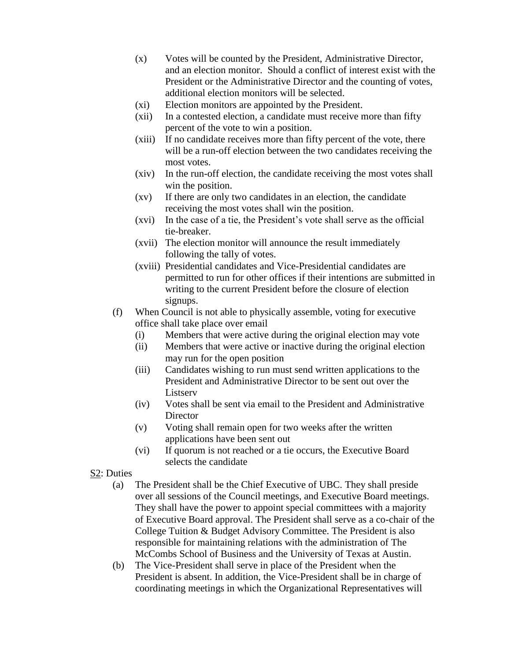- (x) Votes will be counted by the President, Administrative Director, and an election monitor. Should a conflict of interest exist with the President or the Administrative Director and the counting of votes, additional election monitors will be selected.
- (xi) Election monitors are appointed by the President.
- (xii) In a contested election, a candidate must receive more than fifty percent of the vote to win a position.
- (xiii) If no candidate receives more than fifty percent of the vote, there will be a run-off election between the two candidates receiving the most votes.
- (xiv) In the run-off election, the candidate receiving the most votes shall win the position.
- (xv) If there are only two candidates in an election, the candidate receiving the most votes shall win the position.
- (xvi) In the case of a tie, the President's vote shall serve as the official tie-breaker.
- (xvii) The election monitor will announce the result immediately following the tally of votes.
- (xviii) Presidential candidates and Vice-Presidential candidates are permitted to run for other offices if their intentions are submitted in writing to the current President before the closure of election signups.
- (f) When Council is not able to physically assemble, voting for executive office shall take place over email
	- (i) Members that were active during the original election may vote
	- (ii) Members that were active or inactive during the original election may run for the open position
	- (iii) Candidates wishing to run must send written applications to the President and Administrative Director to be sent out over the **Listserv**
	- (iv) Votes shall be sent via email to the President and Administrative **Director**
	- (v) Voting shall remain open for two weeks after the written applications have been sent out
	- (vi) If quorum is not reached or a tie occurs, the Executive Board selects the candidate
- S2: Duties
	- (a) The President shall be the Chief Executive of UBC. They shall preside over all sessions of the Council meetings, and Executive Board meetings. They shall have the power to appoint special committees with a majority of Executive Board approval. The President shall serve as a co-chair of the College Tuition & Budget Advisory Committee. The President is also responsible for maintaining relations with the administration of The McCombs School of Business and the University of Texas at Austin.
	- (b) The Vice-President shall serve in place of the President when the President is absent. In addition, the Vice-President shall be in charge of coordinating meetings in which the Organizational Representatives will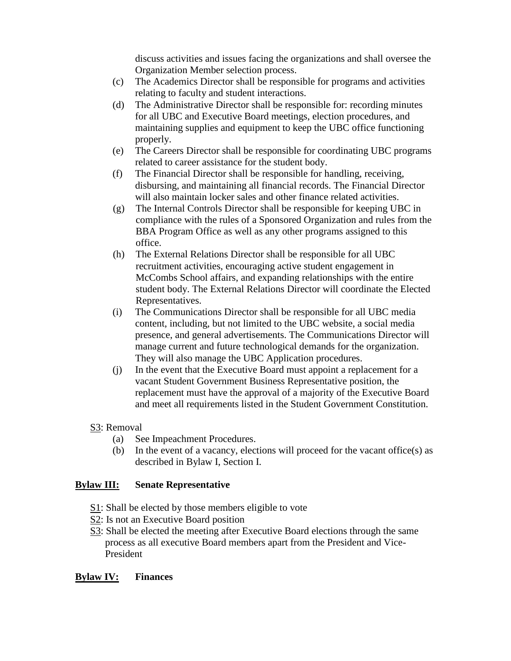discuss activities and issues facing the organizations and shall oversee the Organization Member selection process.

- (c) The Academics Director shall be responsible for programs and activities relating to faculty and student interactions.
- (d) The Administrative Director shall be responsible for: recording minutes for all UBC and Executive Board meetings, election procedures, and maintaining supplies and equipment to keep the UBC office functioning properly.
- (e) The Careers Director shall be responsible for coordinating UBC programs related to career assistance for the student body.
- (f) The Financial Director shall be responsible for handling, receiving, disbursing, and maintaining all financial records. The Financial Director will also maintain locker sales and other finance related activities.
- (g) The Internal Controls Director shall be responsible for keeping UBC in compliance with the rules of a Sponsored Organization and rules from the BBA Program Office as well as any other programs assigned to this office.
- (h) The External Relations Director shall be responsible for all UBC recruitment activities, encouraging active student engagement in McCombs School affairs, and expanding relationships with the entire student body. The External Relations Director will coordinate the Elected Representatives.
- (i) The Communications Director shall be responsible for all UBC media content, including, but not limited to the UBC website, a social media presence, and general advertisements. The Communications Director will manage current and future technological demands for the organization. They will also manage the UBC Application procedures.
- (j) In the event that the Executive Board must appoint a replacement for a vacant Student Government Business Representative position, the replacement must have the approval of a majority of the Executive Board and meet all requirements listed in the Student Government Constitution.

### S3: Removal

- (a) See Impeachment Procedures.
- (b) In the event of a vacancy, elections will proceed for the vacant office(s) as described in Bylaw I, Section I.

### **Bylaw III: Senate Representative**

- S1: Shall be elected by those members eligible to vote
- S2: Is not an Executive Board position
- S3: Shall be elected the meeting after Executive Board elections through the same process as all executive Board members apart from the President and Vice-President

### **Bylaw IV: Finances**